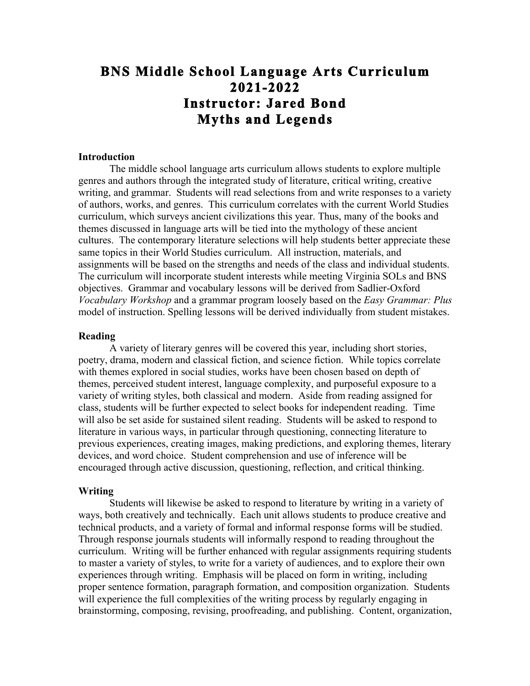# **BNS Middle School Language Arts Curriculum 2021-2022 Instructor: Jared Bond Myths and Legends**

## **Introduction**

The middle school language arts curriculum allows students to explore multiple genres and authors through the integrated study of literature, critical writing, creative writing, and grammar. Students will read selections from and write responses to a variety of authors, works, and genres. This curriculum correlates with the current World Studies curriculum, which surveys ancient civilizations this year. Thus, many of the books and themes discussed in language arts will be tied into the mythology of these ancient cultures. The contemporary literature selections will help students better appreciate these same topics in their World Studies curriculum. All instruction, materials, and assignments will be based on the strengths and needs of the class and individual students. The curriculum will incorporate student interests while meeting Virginia SOLs and BNS objectives. Grammar and vocabulary lessons will be derived from Sadlier-Oxford *Vocabulary Workshop* and a grammar program loosely based on the *Easy Grammar: Plus* model of instruction. Spelling lessons will be derived individually from student mistakes.

#### **Reading**

A variety of literary genres will be covered this year, including short stories, poetry, drama, modern and classical fiction, and science fiction. While topics correlate with themes explored in social studies, works have been chosen based on depth of themes, perceived student interest, language complexity, and purposeful exposure to a variety of writing styles, both classical and modern. Aside from reading assigned for class, students will be further expected to select books for independent reading. Time will also be set aside for sustained silent reading. Students will be asked to respond to literature in various ways, in particular through questioning, connecting literature to previous experiences, creating images, making predictions, and exploring themes, literary devices, and word choice. Student comprehension and use of inference will be encouraged through active discussion, questioning, reflection, and critical thinking.

#### **Writing**

Students will likewise be asked to respond to literature by writing in a variety of ways, both creatively and technically. Each unit allows students to produce creative and technical products, and a variety of formal and informal response forms will be studied. Through response journals students will informally respond to reading throughout the curriculum. Writing will be further enhanced with regular assignments requiring students to master a variety of styles, to write for a variety of audiences, and to explore their own experiences through writing. Emphasis will be placed on form in writing, including proper sentence formation, paragraph formation, and composition organization. Students will experience the full complexities of the writing process by regularly engaging in brainstorming, composing, revising, proofreading, and publishing. Content, organization,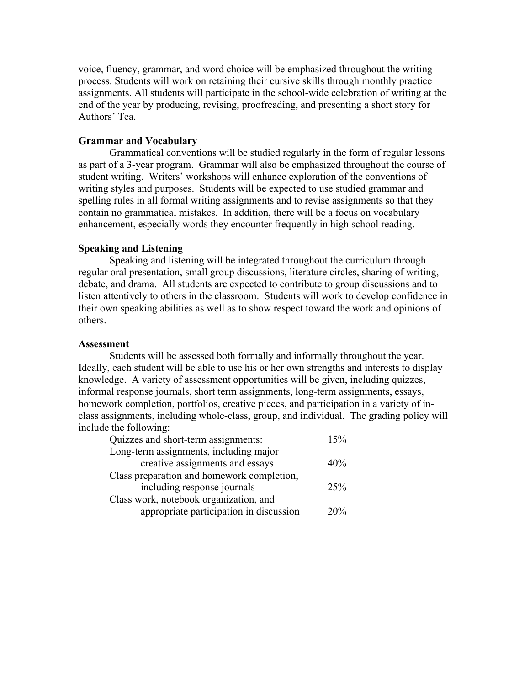voice, fluency, grammar, and word choice will be emphasized throughout the writing process. Students will work on retaining their cursive skills through monthly practice assignments. All students will participate in the school-wide celebration of writing at the end of the year by producing, revising, proofreading, and presenting a short story for Authors' Tea.

#### **Grammar and Vocabulary**

Grammatical conventions will be studied regularly in the form of regular lessons as part of a 3-year program. Grammar will also be emphasized throughout the course of student writing. Writers' workshops will enhance exploration of the conventions of writing styles and purposes. Students will be expected to use studied grammar and spelling rules in all formal writing assignments and to revise assignments so that they contain no grammatical mistakes. In addition, there will be a focus on vocabulary enhancement, especially words they encounter frequently in high school reading.

## **Speaking and Listening**

Speaking and listening will be integrated throughout the curriculum through regular oral presentation, small group discussions, literature circles, sharing of writing, debate, and drama. All students are expected to contribute to group discussions and to listen attentively to others in the classroom. Students will work to develop confidence in their own speaking abilities as well as to show respect toward the work and opinions of others.

#### **Assessment**

Students will be assessed both formally and informally throughout the year. Ideally, each student will be able to use his or her own strengths and interests to display knowledge. A variety of assessment opportunities will be given, including quizzes, informal response journals, short term assignments, long-term assignments, essays, homework completion, portfolios, creative pieces, and participation in a variety of inclass assignments, including whole-class, group, and individual. The grading policy will include the following:

| Quizzes and short-term assignments:        | 15% |
|--------------------------------------------|-----|
| Long-term assignments, including major     |     |
| creative assignments and essays            | 40% |
| Class preparation and homework completion, |     |
| including response journals                | 25% |
| Class work, notebook organization, and     |     |
| appropriate participation in discussion    | 20% |